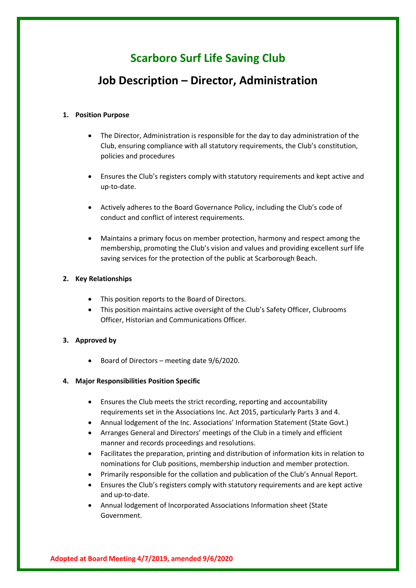# **Scarboro Surf Life Saving Club**

# **Job Description – Director, Administration**

### **1. Position Purpose**

- The Director, Administration is responsible for the day to day administration of the Club, ensuring compliance with all statutory requirements, the Club's constitution, policies and procedures
- Ensures the Club's registers comply with statutory requirements and kept active and up-to-date.
- Actively adheres to the Board Governance Policy, including the Club's code of conduct and conflict of interest requirements.
- Maintains a primary focus on member protection, harmony and respect among the membership, promoting the Club's vision and values and providing excellent surf life saving services for the protection of the public at Scarborough Beach.

# **2. Key Relationships**

- This position reports to the Board of Directors.
- This position maintains active oversight of the Club's Safety Officer, Clubrooms Officer, Historian and Communications Officer.

# **3. Approved by**

• Board of Directors – meeting date 9/6/2020.

#### **4. Major Responsibilities Position Specific**

- Ensures the Club meets the strict recording, reporting and accountability requirements set in the Associations Inc. Act 2015, particularly Parts 3 and 4.
- Annual lodgement of the Inc. Associations' Information Statement (State Govt.)
- Arranges General and Directors' meetings of the Club in a timely and efficient manner and records proceedings and resolutions.
- Facilitates the preparation, printing and distribution of information kits in relation to nominations for Club positions, membership induction and member protection.
- Primarily responsible for the collation and publication of the Club's Annual Report.
- Ensures the Club's registers comply with statutory requirements and are kept active and up-to-date.
- Annual lodgement of Incorporated Associations Information sheet (State Government.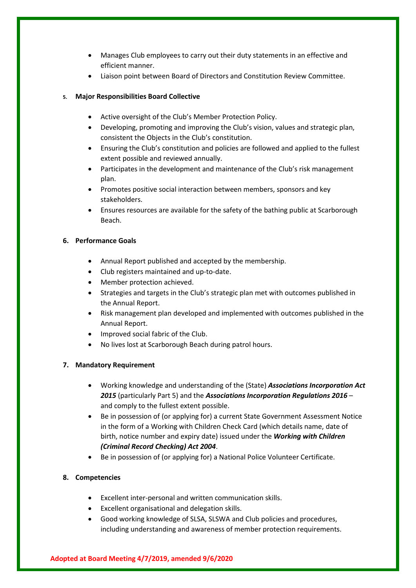- Manages Club employees to carry out their duty statements in an effective and efficient manner.
- Liaison point between Board of Directors and Constitution Review Committee.

# **5. Major Responsibilities Board Collective**

- Active oversight of the Club's Member Protection Policy.
- Developing, promoting and improving the Club's vision, values and strategic plan, consistent the Objects in the Club's constitution.
- Ensuring the Club's constitution and policies are followed and applied to the fullest extent possible and reviewed annually.
- Participates in the development and maintenance of the Club's risk management plan.
- Promotes positive social interaction between members, sponsors and key stakeholders.
- Ensures resources are available for the safety of the bathing public at Scarborough Beach.

# **6. Performance Goals**

- Annual Report published and accepted by the membership.
- Club registers maintained and up-to-date.
- Member protection achieved.
- Strategies and targets in the Club's strategic plan met with outcomes published in the Annual Report.
- Risk management plan developed and implemented with outcomes published in the Annual Report.
- Improved social fabric of the Club.
- No lives lost at Scarborough Beach during patrol hours.

#### **7. Mandatory Requirement**

- Working knowledge and understanding of the (State) *Associations Incorporation Act 2015* (particularly Part 5) and the *Associations Incorporation Regulations 2016* – and comply to the fullest extent possible.
- Be in possession of (or applying for) a current State Government Assessment Notice in the form of a Working with Children Check Card (which details name, date of birth, notice number and expiry date) issued under the *Working with Children (Criminal Record Checking) Act 2004*.
- Be in possession of (or applying for) a National Police Volunteer Certificate.

#### **8. Competencies**

- Excellent inter-personal and written communication skills.
- Excellent organisational and delegation skills.
- Good working knowledge of SLSA, SLSWA and Club policies and procedures, including understanding and awareness of member protection requirements.

#### **Adopted at Board Meeting 4/7/2019, amended 9/6/2020**